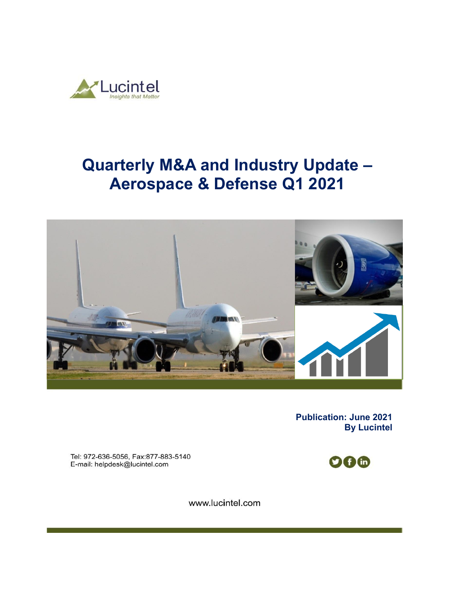

# **Quarterly M&A and Industry Update – Aerospace & Defense Q1 2021**



**Publication: June 2021 By Lucintel** 

Tel: 972-636-5056, Fax:877-883-5140 E-mail: helpdesk@lucintel.com



www.lucintel.com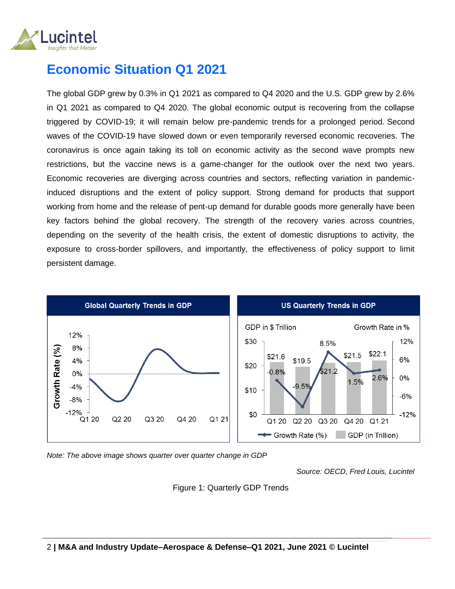

## **Economic Situation Q1 2021**

The global GDP grew by 0.3% in Q1 2021 as compared to Q4 2020 and the U.S. GDP grew by 2.6% in Q1 2021 as compared to Q4 2020. The global economic output is recovering from the collapse triggered by COVID-19; it will remain below pre-pandemic trends for a prolonged period. Second waves of the COVID-19 have slowed down or even temporarily reversed economic recoveries. The coronavirus is once again taking its toll on economic activity as the second wave prompts new restrictions, but the vaccine news is a game-changer for the outlook over the next two years. Economic recoveries are diverging across countries and sectors, reflecting variation in pandemicinduced disruptions and the extent of policy support. Strong demand for products that support working from home and the release of pent-up demand for durable goods more generally have been key factors behind the global recovery. The strength of the recovery varies across countries, depending on the severity of the health crisis, the extent of domestic disruptions to activity, the exposure to cross-border spillovers, and importantly, the effectiveness of policy support to limit persistent damage.



*Note: The above image shows quarter over quarter change in GDP* 

*Source: OECD, Fred Louis, Lucintel*

Figure 1: Quarterly GDP Trends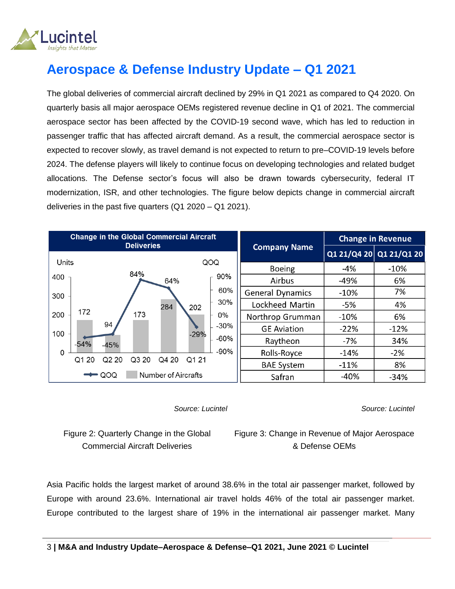

# **Aerospace & Defense Industry Update – Q1 2021**

The global deliveries of commercial aircraft declined by 29% in Q1 2021 as compared to Q4 2020. On quarterly basis all major aerospace OEMs registered revenue decline in Q1 of 2021. The commercial aerospace sector has been affected by the COVID-19 second wave, which has led to reduction in passenger traffic that has affected aircraft demand. As a result, the commercial aerospace sector is expected to recover slowly, as travel demand is not expected to return to pre–COVID-19 levels before 2024. The defense players will likely to continue focus on developing technologies and related budget allocations. The Defense sector's focus will also be drawn towards cybersecurity, federal IT modernization, ISR, and other technologies. The figure below depicts change in commercial aircraft deliveries in the past five quarters (Q1 2020 – Q1 2021).

| <b>Change in the Global Commercial Aircraft</b><br><b>Deliveries</b> |                  | <b>Change in Revenue</b> |        |                         |
|----------------------------------------------------------------------|------------------|--------------------------|--------|-------------------------|
|                                                                      |                  | <b>Company Name</b>      |        | Q1 21/Q4 20 Q1 21/Q1 20 |
| Units<br>84%                                                         | QOQ              | <b>Boeing</b>            | $-4%$  | $-10%$                  |
| 400<br>64%                                                           | 90%              | Airbus                   | $-49%$ | 6%                      |
| 300                                                                  | 60%              | <b>General Dynamics</b>  | $-10%$ | 7%                      |
| 284                                                                  | 30%<br>202       | Lockheed Martin          | $-5%$  | 4%                      |
| 172<br>173<br>200                                                    | 0%               | Northrop Grumman         | $-10%$ | 6%                      |
| 94<br>100                                                            | $-30%$<br>$-29%$ | <b>GE Aviation</b>       | $-22%$ | $-12%$                  |
| $-54%$<br>$-45%$                                                     | $-60%$           | Raytheon                 | -7%    | 34%                     |
| $\Omega$                                                             | $-90%$           | Rolls-Royce              | $-14%$ | $-2%$                   |
| 20<br>Q3 20<br>Q4 20<br>Q <sub>2</sub> 20<br>Q1                      | Q1 21            | <b>BAE System</b>        | $-11%$ | 8%                      |
| Number of Aircrafts<br>QOQ                                           |                  | Safran                   | $-40%$ | $-34%$                  |

 *Source: Lucintel*

*Source: Lucintel*

Figure 2: Quarterly Change in the Global Commercial Aircraft Deliveries

Figure 3: Change in Revenue of Major Aerospace & Defense OEMs

Asia Pacific holds the largest market of around 38.6% in the total air passenger market, followed by Europe with around 23.6%. International air travel holds 46% of the total air passenger market. Europe contributed to the largest share of 19% in the international air passenger market. Many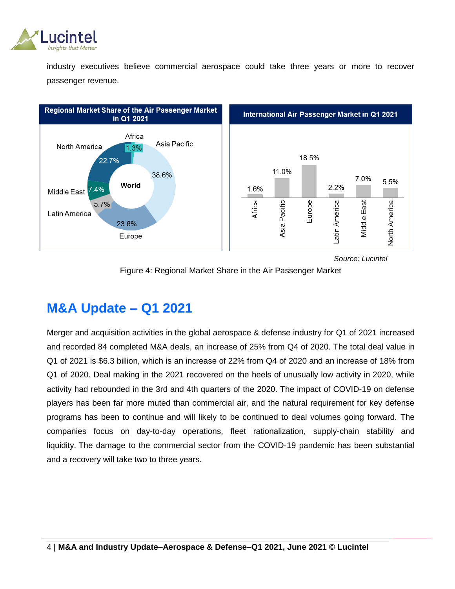

industry executives believe commercial aerospace could take three years or more to recover passenger revenue.



 *Source: Lucintel*



### **M&A Update – Q1 2021**

Merger and acquisition activities in the global aerospace & defense industry for Q1 of 2021 increased and recorded 84 completed M&A deals, an increase of 25% from Q4 of 2020. The total deal value in Q1 of 2021 is \$6.3 billion, which is an increase of 22% from Q4 of 2020 and an increase of 18% from Q1 of 2020. Deal making in the 2021 recovered on the heels of unusually low activity in 2020, while activity had rebounded in the 3rd and 4th quarters of the 2020. The impact of COVID-19 on defense players has been far more muted than commercial air, and the natural requirement for key defense programs has been to continue and will likely to be continued to deal volumes going forward. The companies focus on day-to-day operations, fleet rationalization, supply-chain stability and liquidity. The damage to the commercial sector from the COVID-19 pandemic has been substantial and a recovery will take two to three years.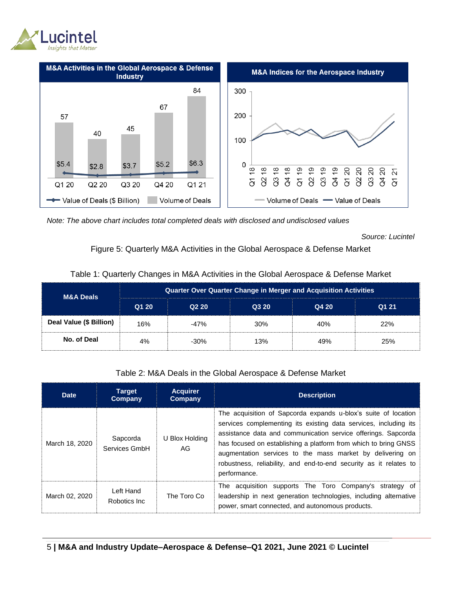



*Note: The above chart includes total completed deals with disclosed and undisclosed values*

*Source: Lucintel*

#### Figure 5: Quarterly M&A Activities in the Global Aerospace & Defense Market

| <b>M&amp;A Deals</b>    | <b>Quarter Over Quarter Change in Merger and Acquisition Activities</b> |        |       |       |       |  |
|-------------------------|-------------------------------------------------------------------------|--------|-------|-------|-------|--|
|                         | Q1 20                                                                   | Q220   | Q3 20 | Q4 20 | Q1 21 |  |
| Deal Value (\$ Billion) | 16%                                                                     | $-47%$ | 30%   | 40%   | 22%   |  |
| No. of Deal             | 4%                                                                      | $-30%$ | 13%   | 49%   | 25%   |  |

#### Table 1: Quarterly Changes in M&A Activities in the Global Aerospace & Defense Market

#### Table 2: M&A Deals in the Global Aerospace & Defense Market

| <b>Date</b>    | <b>Target</b><br>Company   | <b>Acquirer</b><br>Company | <b>Description</b>                                                                                                                                                                                                                                                                                                                                                                                                       |
|----------------|----------------------------|----------------------------|--------------------------------------------------------------------------------------------------------------------------------------------------------------------------------------------------------------------------------------------------------------------------------------------------------------------------------------------------------------------------------------------------------------------------|
| March 18, 2020 | Sapcorda<br>Services GmbH  | U Blox Holding<br>AG.      | The acquisition of Sapcorda expands u-blox's suite of location<br>services complementing its existing data services, including its<br>assistance data and communication service offerings. Sapcorda<br>has focused on establishing a platform from which to bring GNSS<br>augmentation services to the mass market by delivering on<br>robustness, reliability, and end-to-end security as it relates to<br>performance. |
| March 02, 2020 | Left Hand<br>Robotics Inc. | The Toro Co                | The acquisition supports The Toro Company's strategy of<br>leadership in next generation technologies, including alternative<br>power, smart connected, and autonomous products.                                                                                                                                                                                                                                         |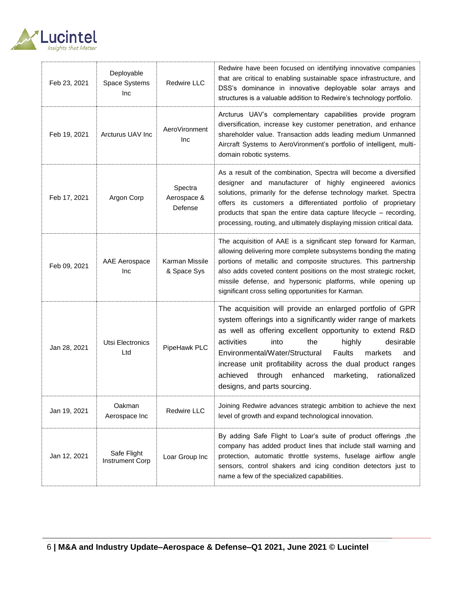

| Feb 23, 2021 | Deployable<br>Space Systems<br>Inc    | Redwire LLC                       | Redwire have been focused on identifying innovative companies<br>that are critical to enabling sustainable space infrastructure, and<br>DSS's dominance in innovative deployable solar arrays and<br>structures is a valuable addition to Redwire's technology portfolio.                                                                                                                                                                                          |
|--------------|---------------------------------------|-----------------------------------|--------------------------------------------------------------------------------------------------------------------------------------------------------------------------------------------------------------------------------------------------------------------------------------------------------------------------------------------------------------------------------------------------------------------------------------------------------------------|
| Feb 19, 2021 | Arcturus UAV Inc                      | AeroVironment<br>Inc              | Arcturus UAV's complementary capabilities provide program<br>diversification, increase key customer penetration, and enhance<br>shareholder value. Transaction adds leading medium Unmanned<br>Aircraft Systems to AeroVironment's portfolio of intelligent, multi-<br>domain robotic systems.                                                                                                                                                                     |
| Feb 17, 2021 | Argon Corp                            | Spectra<br>Aerospace &<br>Defense | As a result of the combination, Spectra will become a diversified<br>designer and manufacturer of highly engineered avionics<br>solutions, primarily for the defense technology market. Spectra<br>offers its customers a differentiated portfolio of proprietary<br>products that span the entire data capture lifecycle - recording,<br>processing, routing, and ultimately displaying mission critical data.                                                    |
| Feb 09, 2021 | AAE Aerospace<br>Inc                  | Karman Missile<br>& Space Sys     | The acquisition of AAE is a significant step forward for Karman,<br>allowing delivering more complete subsystems bonding the mating<br>portions of metallic and composite structures. This partnership<br>also adds coveted content positions on the most strategic rocket,<br>missile defense, and hypersonic platforms, while opening up<br>significant cross selling opportunities for Karman.                                                                  |
| Jan 28, 2021 | Utsi Electronics<br>Ltd               | PipeHawk PLC                      | The acquisition will provide an enlarged portfolio of GPR<br>system offerings into a significantly wider range of markets<br>as well as offering excellent opportunity to extend R&D<br>activities<br>the<br>desirable<br>into<br>highly<br>Environmental/Water/Structural<br>Faults<br>markets<br>and<br>increase unit profitability across the dual product ranges<br>through enhanced<br>rationalized<br>achieved<br>marketing,<br>designs, and parts sourcing. |
| Jan 19, 2021 | Oakman<br>Aerospace Inc               | Redwire LLC                       | Joining Redwire advances strategic ambition to achieve the next<br>level of growth and expand technological innovation.                                                                                                                                                                                                                                                                                                                                            |
| Jan 12, 2021 | Safe Flight<br><b>Instrument Corp</b> | Loar Group Inc                    | By adding Safe Flight to Loar's suite of product offerings, the<br>company has added product lines that include stall warning and<br>protection, automatic throttle systems, fuselage airflow angle<br>sensors, control shakers and icing condition detectors just to<br>name a few of the specialized capabilities.                                                                                                                                               |